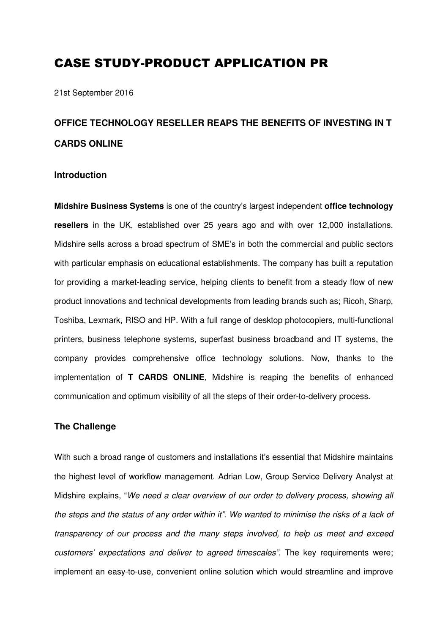# CASE STUDY-PRODUCT APPLICATION PR

21st September 2016

# **OFFICE TECHNOLOGY RESELLER REAPS THE BENEFITS OF INVESTING IN T CARDS ONLINE**

#### **Introduction**

**Midshire Business Systems** is one of the country's largest independent **office technology resellers** in the UK, established over 25 years ago and with over 12,000 installations. Midshire sells across a broad spectrum of SME's in both the commercial and public sectors with particular emphasis on educational establishments. The company has built a reputation for providing a market-leading service, helping clients to benefit from a steady flow of new product innovations and technical developments from leading brands such as; Ricoh, Sharp, Toshiba, Lexmark, RISO and HP. With a full range of desktop photocopiers, multi-functional printers, business telephone systems, superfast business broadband and IT systems, the company provides comprehensive office technology solutions. Now, thanks to the implementation of **T CARDS ONLINE**, Midshire is reaping the benefits of enhanced communication and optimum visibility of all the steps of their order-to-delivery process.

#### **The Challenge**

With such a broad range of customers and installations it's essential that Midshire maintains the highest level of workflow management. Adrian Low, Group Service Delivery Analyst at Midshire explains, "We need a clear overview of our order to delivery process, showing all the steps and the status of any order within it". We wanted to minimise the risks of a lack of transparency of our process and the many steps involved, to help us meet and exceed customers' expectations and deliver to agreed timescales". The key requirements were; implement an easy-to-use, convenient online solution which would streamline and improve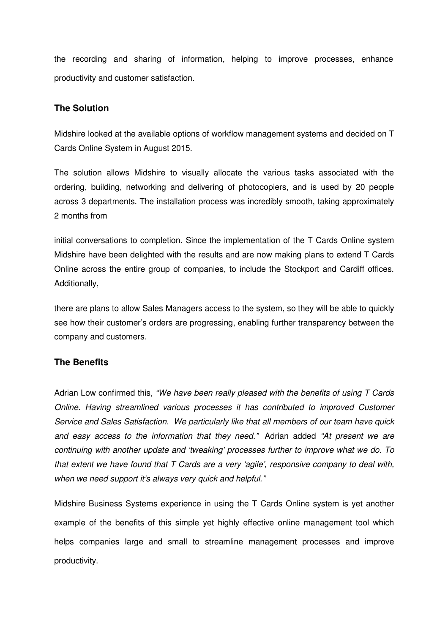the recording and sharing of information, helping to improve processes, enhance productivity and customer satisfaction.

## **The Solution**

Midshire looked at the available options of workflow management systems and decided on T Cards Online System in August 2015.

The solution allows Midshire to visually allocate the various tasks associated with the ordering, building, networking and delivering of photocopiers, and is used by 20 people across 3 departments. The installation process was incredibly smooth, taking approximately 2 months from

initial conversations to completion. Since the implementation of the T Cards Online system Midshire have been delighted with the results and are now making plans to extend T Cards Online across the entire group of companies, to include the Stockport and Cardiff offices. Additionally,

there are plans to allow Sales Managers access to the system, so they will be able to quickly see how their customer's orders are progressing, enabling further transparency between the company and customers.

### **The Benefits**

Adrian Low confirmed this, "We have been really pleased with the benefits of using T Cards Online. Having streamlined various processes it has contributed to improved Customer Service and Sales Satisfaction. We particularly like that all members of our team have quick and easy access to the information that they need." Adrian added "At present we are continuing with another update and 'tweaking' processes further to improve what we do. To that extent we have found that T Cards are a very 'agile', responsive company to deal with, when we need support it's always very quick and helpful."

Midshire Business Systems experience in using the T Cards Online system is yet another example of the benefits of this simple yet highly effective online management tool which helps companies large and small to streamline management processes and improve productivity.